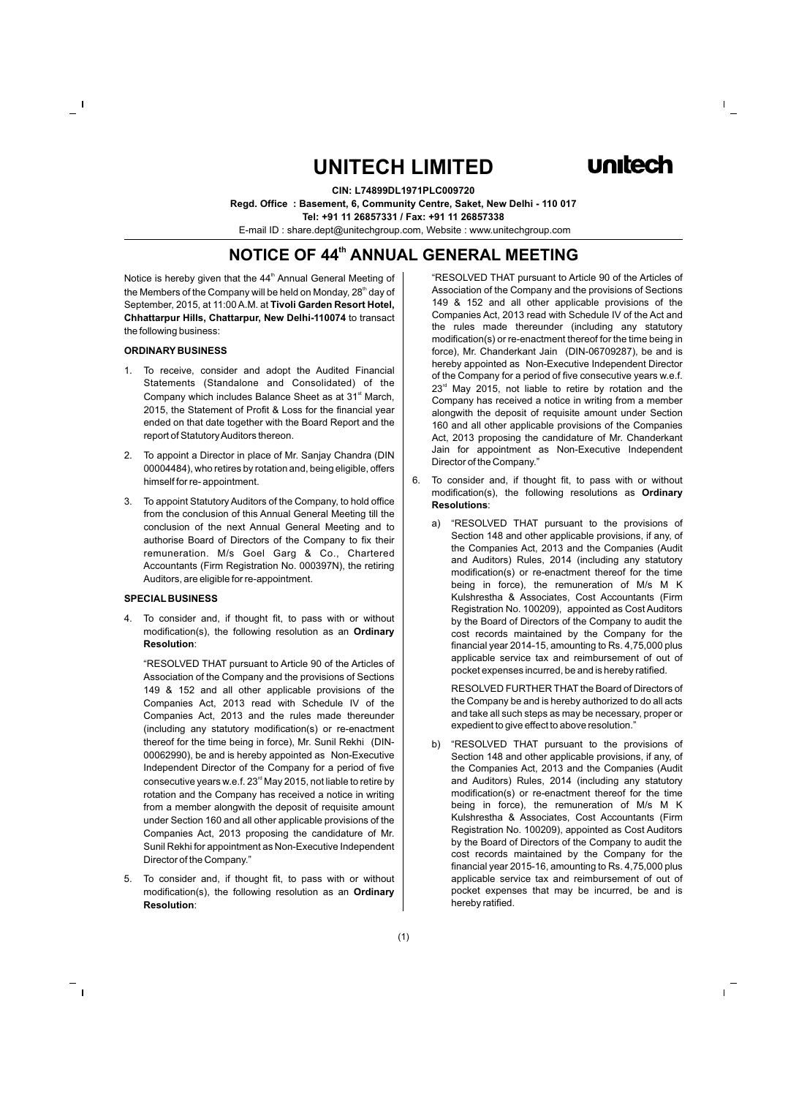# **UNITECH LIMITED**



**CIN: L74899DL1971PLC009720 Regd. Office : Basement, 6, Community Centre, Saket, New Delhi - 110 017 Tel: +91 11 26857331 / Fax: +91 11 26857338** E-mail ID : share.dept@unitechgroup.com, Website : www.unitechgroup.com

# **NOTICE OF 44<sup>th</sup> ANNUAL GENERAL MEETING**

Notice is hereby given that the 44<sup>th</sup> Annual General Meeting of the Members of the Company will be held on Monday, 28<sup>th</sup> day of September, 2015, at 11:00 A.M. at **Tivoli Garden Resort Hotel, Chhattarpur Hills, Chattarpur, New Delhi-110074** to transact the following business:

#### **ORDINARY BUSINESS**

- 1. To receive, consider and adopt the Audited Financial Statements (Standalone and Consolidated) of the Company which includes Balance Sheet as at 31<sup>st</sup> March, 2015, the Statement of Profit & Loss for the financial year ended on that date together with the Board Report and the report of Statutory Auditors thereon.
- 2. To appoint a Director in place of Mr. Sanjay Chandra (DIN 00004484), who retires by rotation and, being eligible, offers himself for re- appointment.
- 3. To appoint Statutory Auditors of the Company, to hold office from the conclusion of this Annual General Meeting till the conclusion of the next Annual General Meeting and to authorise Board of Directors of the Company to fix their remuneration. M/s Goel Garg & Co., Chartered Accountants (Firm Registration No. 000397N), the retiring Auditors, are eligible for re-appointment.

#### **SPECIAL BUSINESS**

4. To consider and, if thought fit, to pass with or without modification(s), the following resolution as an **Ordinary Resolution**:

"RESOLVED THAT pursuant to Article 90 of the Articles of Association of the Company and the provisions of Sections 149 & 152 and all other applicable provisions of the Companies Act, 2013 read with Schedule IV of the Companies Act, 2013 and the rules made thereunder (including any statutory modification(s) or re-enactment thereof for the time being in force), Mr. Sunil Rekhi (DIN-00062990), be and is hereby appointed as Non-Executive Independent Director of the Company for a period of five consecutive years w.e.f.  $23<sup>rd</sup>$  May 2015, not liable to retire by rotation and the Company has received a notice in writing from a member alongwith the deposit of requisite amount under Section 160 and all other applicable provisions of the Companies Act, 2013 proposing the candidature of Mr. Sunil Rekhi for appointment as Non-Executive Independent Director of the Company."

5. To consider and, if thought fit, to pass with or without modification(s), the following resolution as an **Ordinary Resolution**:

"RESOLVED THAT pursuant to Article 90 of the Articles of Association of the Company and the provisions of Sections 149 & 152 and all other applicable provisions of the Companies Act, 2013 read with Schedule IV of the Act and the rules made thereunder (including any statutory modification(s) or re-enactment thereof for the time being in force), Mr. Chanderkant Jain (DIN-06709287), be and is hereby appointed as Non-Executive Independent Director of the Company for a period of five consecutive years w.e.f.  $23<sup>rd</sup>$  May 2015, not liable to retire by rotation and the Company has received a notice in writing from a member alongwith the deposit of requisite amount under Section 160 and all other applicable provisions of the Companies Act, 2013 proposing the candidature of Mr. Chanderkant Jain for appointment as Non-Executive Independent Director of the Company."

- 6. To consider and, if thought fit, to pass with or without modification(s), the following resolutions as **Ordinary Resolutions**:
	- a) "RESOLVED THAT pursuant to the provisions of Section 148 and other applicable provisions, if any, of the Companies Act, 2013 and the Companies (Audit and Auditors) Rules, 2014 (including any statutory modification(s) or re-enactment thereof for the time being in force), the remuneration of M/s M K Kulshrestha & Associates, Cost Accountants (Firm Registration No. 100209), appointed as Cost Auditors by the Board of Directors of the Company to audit the cost records maintained by the Company for the financial year 2014-15, amounting to Rs. 4,75,000 plus applicable service tax and reimbursement of out of pocket expenses incurred, be and is hereby ratified.

RESOLVED FURTHER THAT the Board of Directors of the Company be and is hereby authorized to do all acts and take all such steps as may be necessary, proper or expedient to give effect to above resolution."

b) "RESOLVED THAT pursuant to the provisions of Section 148 and other applicable provisions, if any, of the Companies Act, 2013 and the Companies (Audit and Auditors) Rules, 2014 (including any statutory modification(s) or re-enactment thereof for the time being in force), the remuneration of M/s M K Kulshrestha & Associates, Cost Accountants (Firm Registration No. 100209), appointed as Cost Auditors by the Board of Directors of the Company to audit the cost records maintained by the Company for the financial year 2015-16, amounting to Rs. 4,75,000 plus applicable service tax and reimbursement of out of pocket expenses that may be incurred, be and is hereby ratified.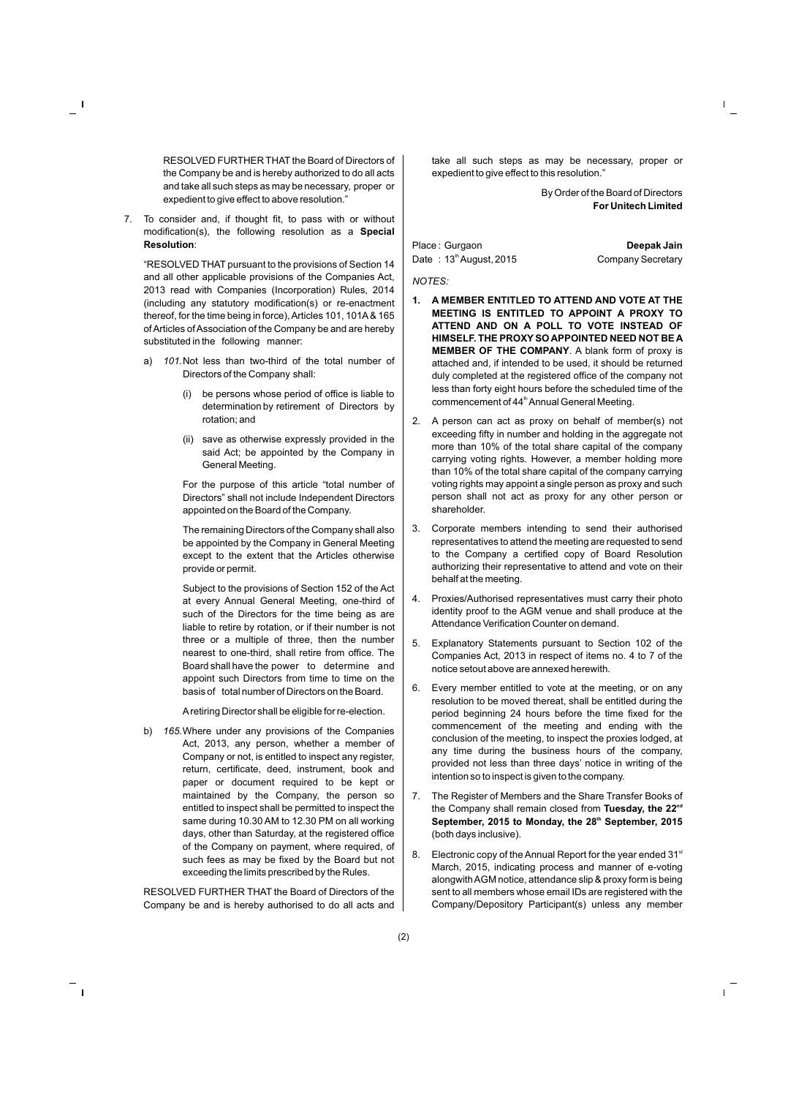RESOLVED FURTHER THAT the Board of Directors of the Company be and is hereby authorized to do all acts and take all such steps as may be necessary, proper or expedient to give effect to above resolution."

7. To consider and, if thought fit, to pass with or without modification(s), the following resolution as a **Special Resolution**:

"RESOLVED THAT pursuant to the provisions of Section 14 and all other applicable provisions of the Companies Act, 2013 read with Companies (Incorporation) Rules, 2014 (including any statutory modification(s) or re-enactment thereof, for the time being in force), Articles 101, 101A& 165 of Articles of Association of the Company be and are hereby substituted in the following manner:

- a) *101.*Not less than two-third of the total number of Directors of the Company shall:
	- (i) be persons whose period of office is liable to determination by retirement of Directors by rotation; and
	- (ii) save as otherwise expressly provided in the said Act; be appointed by the Company in General Meeting.

For the purpose of this article "total number of Directors" shall not include Independent Directors appointed on the Board of the Company.

The remaining Directors of the Company shall also be appointed by the Company in General Meeting except to the extent that the Articles otherwise provide or permit.

Subject to the provisions of Section 152 of the Act at every Annual General Meeting, one-third of such of the Directors for the time being as are liable to retire by rotation, or if their number is not three or a multiple of three, then the number nearest to one-third, shall retire from office. The Board shall have the power to determine and appoint such Directors from time to time on the basis of total number of Directors on the Board.

Aretiring Director shall be eligible for re-election.

b) *165.*Where under any provisions of the Companies Act, 2013, any person, whether a member of Company or not, is entitled to inspect any register, return, certificate, deed, instrument, book and paper or document required to be kept or maintained by the Company, the person so entitled to inspect shall be permitted to inspect the same during 10.30 AM to 12.30 PM on all working days, other than Saturday, at the registered office of the Company on payment, where required, of such fees as may be fixed by the Board but not exceeding the limits prescribed by the Rules.

RESOLVED FURTHER THAT the Board of Directors of the Company be and is hereby authorised to do all acts and take all such steps as may be necessary, proper or expedient to give effect to this resolution."

> By Order of the Board of Directors **For Unitech Limited**

Place : Gurgaon **Deepak Jain** Date : 13<sup>th</sup> August, 2015 Company Secretary

*NOTES:*

- **1. A MEMBER ENTITLED TO ATTEND AND VOTE AT THE MEETING IS ENTITLED TO APPOINT A PROXY TO ATTEND AND ON A POLL TO VOTE INSTEAD OF HIMSELF. THE PROXYSO APPOINTED NEED NOT BE A MEMBER OF THE COMPANY**. A blank form of proxy is attached and, if intended to be used, it should be returned duly completed at the registered office of the company not less than forty eight hours before the scheduled time of the commencement of 44<sup>th</sup> Annual General Meeting.
- 2. A person can act as proxy on behalf of member(s) not exceeding fifty in number and holding in the aggregate not more than 10% of the total share capital of the company carrying voting rights. However, a member holding more than 10% of the total share capital of the company carrying voting rights may appoint a single person as proxy and such person shall not act as proxy for any other person or shareholder.
- 3. Corporate members intending to send their authorised representatives to attend the meeting are requested to send to the Company a certified copy of Board Resolution authorizing their representative to attend and vote on their behalf at the meeting.
- 4. Proxies/Authorised representatives must carry their photo identity proof to the AGM venue and shall produce at the Attendance Verification Counter on demand.
- 5. Explanatory Statements pursuant to Section 102 of the Companies Act, 2013 in respect of items no. 4 to 7 of the notice setout above are annexed herewith.
- 6. Every member entitled to vote at the meeting, or on any resolution to be moved thereat, shall be entitled during the period beginning 24 hours before the time fixed for the commencement of the meeting and ending with the conclusion of the meeting, to inspect the proxies lodged, at any time during the business hours of the company, provided not less than three days' notice in writing of the intention so to inspect is given to the company.
- 7. The Register of Members and the Share Transfer Books of the Company shall remain closed from Tuesday, the 22<sup>nd</sup> **th September, 2015 to Monday, the 28 September, 2015** (both days inclusive).
- 8. Electronic copy of the Annual Report for the year ended  $31<sup>st</sup>$ March, 2015, indicating process and manner of e-voting alongwith AGM notice, attendance slip & proxy form is being sent to all members whose email IDs are registered with the Company/Depository Participant(s) unless any member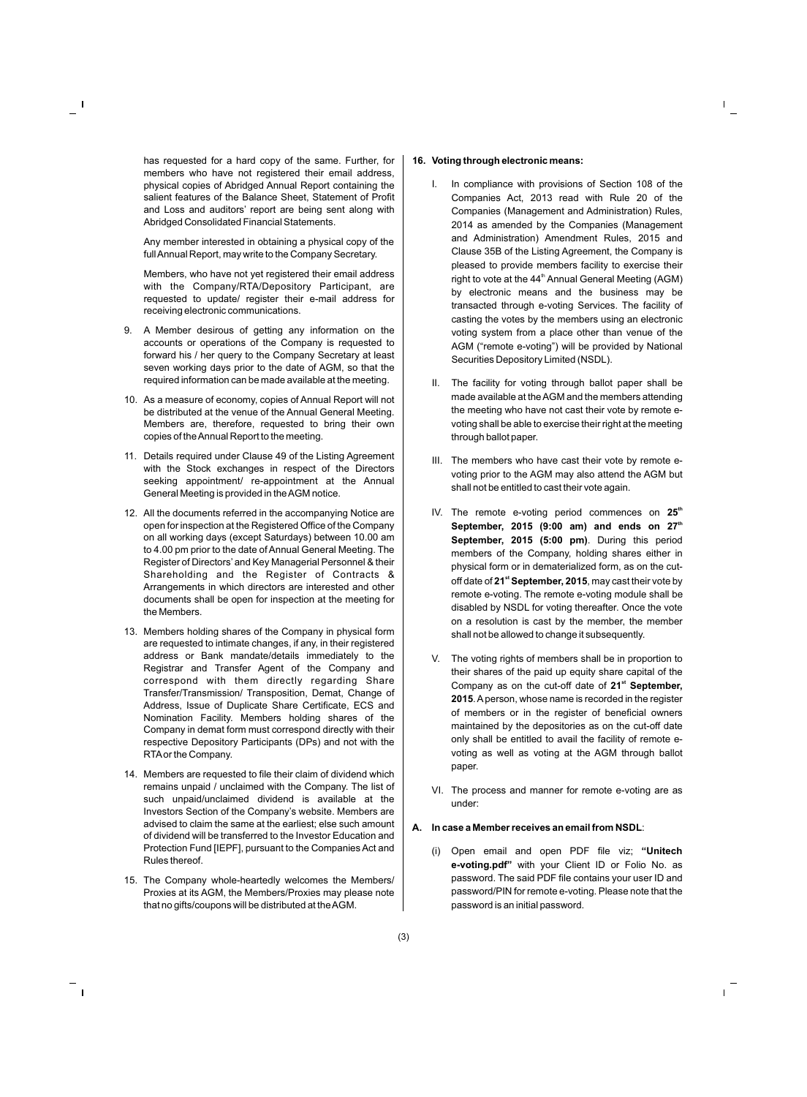has requested for a hard copy of the same. Further, for members who have not registered their email address, physical copies of Abridged Annual Report containing the salient features of the Balance Sheet, Statement of Profit and Loss and auditors' report are being sent along with Abridged Consolidated Financial Statements.

Any member interested in obtaining a physical copy of the full Annual Report, may write to the Company Secretary.

Members, who have not yet registered their email address with the Company/RTA/Depository Participant, are requested to update/ register their e-mail address for receiving electronic communications.

- 9. A Member desirous of getting any information on the accounts or operations of the Company is requested to forward his / her query to the Company Secretary at least seven working days prior to the date of AGM, so that the required information can be made available at the meeting.
- 10. As a measure of economy, copies of Annual Report will not be distributed at the venue of the Annual General Meeting. Members are, therefore, requested to bring their own copies of the Annual Report to the meeting.
- 11. Details required under Clause 49 of the Listing Agreement with the Stock exchanges in respect of the Directors seeking appointment/ re-appointment at the Annual General Meeting is provided in the AGM notice.
- 12. All the documents referred in the accompanying Notice are open for inspection at the Registered Office of the Company on all working days (except Saturdays) between 10.00 am to 4.00 pm prior to the date of Annual General Meeting. The Register of Directors' and Key Managerial Personnel & their Shareholding and the Register of Contracts & Arrangements in which directors are interested and other documents shall be open for inspection at the meeting for the Members.
- 13. Members holding shares of the Company in physical form are requested to intimate changes, if any, in their registered address or Bank mandate/details immediately to the Registrar and Transfer Agent of the Company and correspond with them directly regarding Share Transfer/Transmission/ Transposition, Demat, Change of Address, Issue of Duplicate Share Certificate, ECS and Nomination Facility. Members holding shares of the Company in demat form must correspond directly with their respective Depository Participants (DPs) and not with the RTAor the Company.
- 14. Members are requested to file their claim of dividend which remains unpaid / unclaimed with the Company. The list of such unpaid/unclaimed dividend is available at the Investors Section of the Company's website. Members are advised to claim the same at the earliest; else such amount of dividend will be transferred to the Investor Education and Protection Fund [IEPF], pursuant to the Companies Act and Rules thereof.
- 15. The Company whole-heartedly welcomes the Members/ Proxies at its AGM, the Members/Proxies may please note that no gifts/coupons will be distributed at the AGM.

#### **16. Voting through electronic means:**

- I. In compliance with provisions of Section 108 of the Companies Act, 2013 read with Rule 20 of the Companies (Management and Administration) Rules, 2014 as amended by the Companies (Management and Administration) Amendment Rules, 2015 and Clause 35B of the Listing Agreement, the Company is pleased to provide members facility to exercise their right to vote at the 44<sup>th</sup> Annual General Meeting (AGM) by electronic means and the business may be transacted through e-voting Services. The facility of casting the votes by the members using an electronic voting system from a place other than venue of the AGM ("remote e-voting") will be provided by National Securities Depository Limited (NSDL).
- II. The facility for voting through ballot paper shall be made available at the AGM and the members attending the meeting who have not cast their vote by remote evoting shall be able to exercise their right at the meeting through ballot paper.
- III. The members who have cast their vote by remote evoting prior to the AGM may also attend the AGM but shall not be entitled to cast their vote again.
- IV. The remote e-voting period commences on 25<sup>th</sup> **th September, 2015 (9:00 am) and ends on 27 September, 2015 (5:00 pm)**. During this period members of the Company, holding shares either in physical form or in dematerialized form, as on the cut**st** off date of **21 September, 2015**, may cast their vote by remote e-voting. The remote e-voting module shall be disabled by NSDL for voting thereafter. Once the vote on a resolution is cast by the member, the member shall not be allowed to change it subsequently.
- V. The voting rights of members shall be in proportion to their shares of the paid up equity share capital of the **st** Company as on the cut-off date of **21 September, 2015**. Aperson, whose name is recorded in the register of members or in the register of beneficial owners maintained by the depositories as on the cut-off date only shall be entitled to avail the facility of remote evoting as well as voting at the AGM through ballot paper.
- VI. The process and manner for remote e-voting are as under:

### **A. In case a Member receives an email from NSDL**:

(i) Open email and open PDF file viz; **"Unitech e-voting.pdf"** with your Client ID or Folio No. as password. The said PDF file contains your user ID and password/PIN for remote e-voting. Please note that the password is an initial password.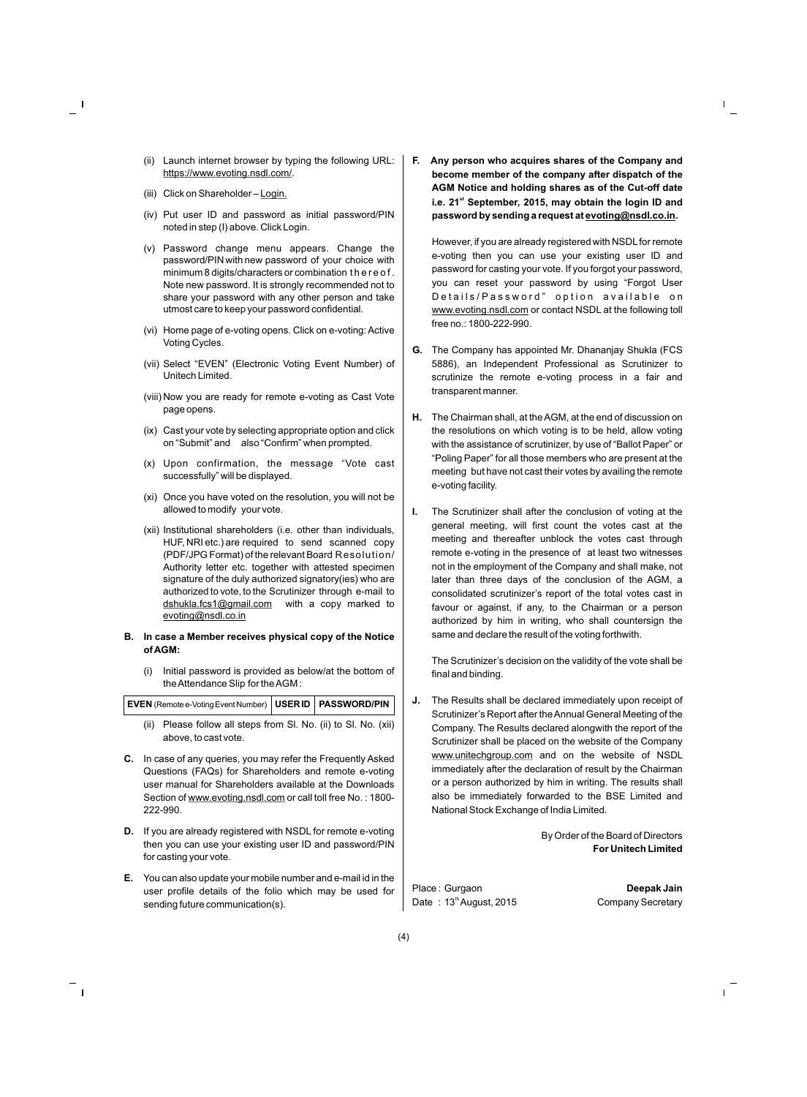- (ii) Launch internet browser by typing the following URL: https://www.evoting.nsdl.com/.
- (iii) Click on Shareholder Login.
- (iv) Put user ID and password as initial password/PIN noted in step (I) above. Click Login.
- (v) Password change menu appears. Change the password/PIN with new password of your choice with minimum 8 digits/characters or combination t h e r e o f . Note new password. It is strongly recommended not to share your password with any other person and take utmost care to keep your password confidential.
- (vi) Home page of e-voting opens. Click on e-voting: Active Voting Cycles.
- (vii) Select "EVEN" (Electronic Voting Event Number) of Unitech Limited.
- (viii) Now you are ready for remote e-voting as Cast Vote page opens.
- (ix) Cast your vote by selecting appropriate option and click on "Submit" and also "Confirm" when prompted.
- (x) Upon confirmation, the message "Vote cast successfully" will be displayed.
- (xi) Once you have voted on the resolution, you will not be allowed to modify your vote.
- (xii) Institutional shareholders (i.e. other than individuals, HUF, NRI etc.) are required to send scanned copy (PDF/JPG Format) of the relevant Board Resolution/ Authority letter etc. together with attested specimen signature of the duly authorized signatory(ies) who are authorized to vote, to the Scrutinizer through e-mail to dshukla.fcs1@gmail.com with a copy marked to evoting@nsdl.co.in

#### **B. In case a Member receives physical copy of the Notice of AGM:**

(i) Initial password is provided as below/at the bottom of the Attendance Slip for the AGM :

| EVEN (Remote e-Voting Event Number)   USER ID   PASSWORD/PIN |  |  |
|--------------------------------------------------------------|--|--|
|--------------------------------------------------------------|--|--|

- (ii) Please follow all steps from Sl. No. (ii) to Sl. No. (xii) above, to cast vote.
- **C.** In case of any queries, you may refer the Frequently Asked Questions (FAQs) for Shareholders and remote e-voting user manual for Shareholders available at the Downloads Section of www.evoting.nsdl.com or call toll free No. : 1800- 222-990.
- **D.** If you are already registered with NSDL for remote e-voting then you can use your existing user ID and password/PIN for casting your vote.
- **E.** You can also update your mobile number and e-mail id in the user profile details of the folio which may be used for sending future communication(s).

**F. Any person who acquires shares of the Company and become member of the company after dispatch of the AGM Notice and holding shares as of the Cut-off date st i.e. 21 September, 2015, may obtain the login ID and password by sending a request at evoting@nsdl.co.in.**

However, if you are already registered with NSDL for remote e-voting then you can use your existing user ID and password for casting your vote. If you forgot your password, you can reset your password by using "Forgot User Details/Password" option available on www.evoting.nsdl.com or contact NSDL at the following toll free no.: 1800-222-990.

- **G.** The Company has appointed Mr. Dhananjay Shukla (FCS 5886), an Independent Professional as Scrutinizer to scrutinize the remote e-voting process in a fair and transparent manner.
- **H.** The Chairman shall, at the AGM, at the end of discussion on the resolutions on which voting is to be held, allow voting with the assistance of scrutinizer, by use of "Ballot Paper" or "Poling Paper" for all those members who are present at the meeting but have not cast their votes by availing the remote e-voting facility.
- **I.** The Scrutinizer shall after the conclusion of voting at the general meeting, will first count the votes cast at the meeting and thereafter unblock the votes cast through remote e-voting in the presence of at least two witnesses not in the employment of the Company and shall make, not later than three days of the conclusion of the AGM, a consolidated scrutinizer's report of the total votes cast in favour or against, if any, to the Chairman or a person authorized by him in writing, who shall countersign the same and declare the result of the voting forthwith.

The Scrutinizer's decision on the validity of the vote shall be final and binding.

**J.** The Results shall be declared immediately upon receipt of Scrutinizer's Report after the Annual General Meeting of the Company. The Results declared alongwith the report of the Scrutinizer shall be placed on the website of the Company www.unitechgroup.com and on the website of NSDL immediately after the declaration of result by the Chairman or a person authorized by him in writing. The results shall also be immediately forwarded to the BSE Limited and National Stock Exchange of India Limited.

> By Order of the Board of Directors **For Unitech Limited**

Place : Gurgaon **Deepak Jain** Date : 13<sup>th</sup> August, 2015 Company Secretary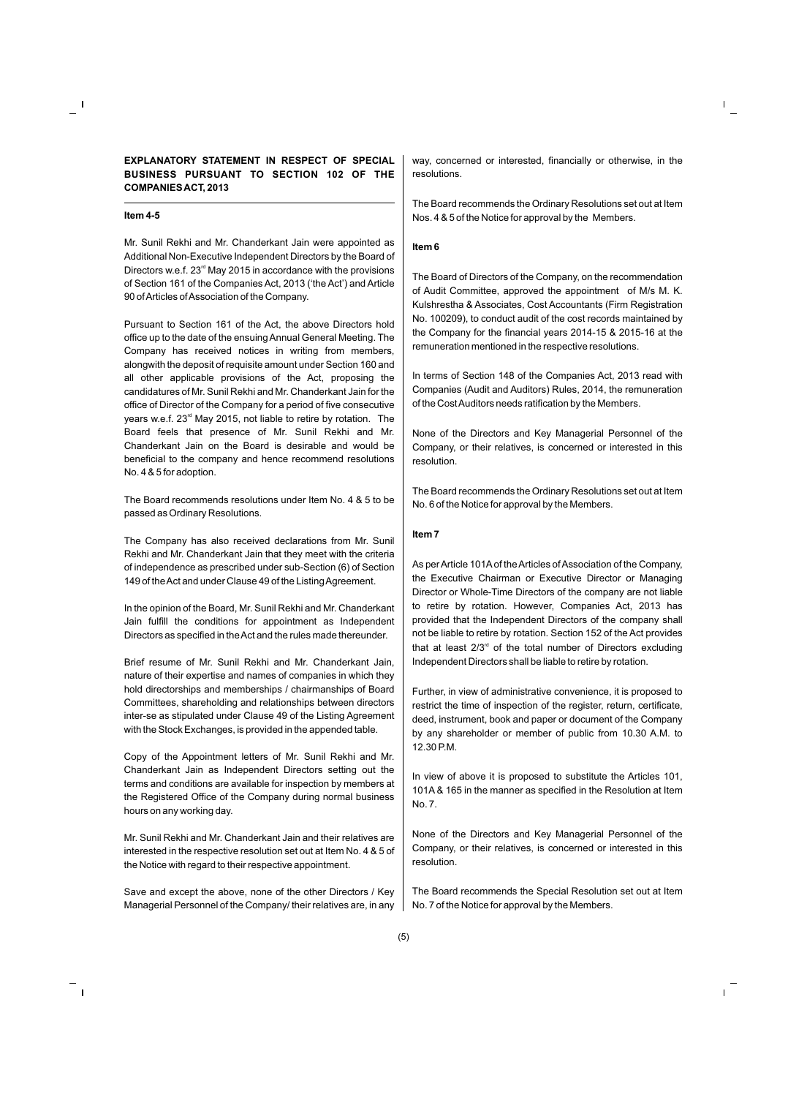#### **Item 4-5**

Mr. Sunil Rekhi and Mr. Chanderkant Jain were appointed as Additional Non-Executive Independent Directors by the Board of Directors w.e.f.  $23<sup>rd</sup>$  May 2015 in accordance with the provisions of Section 161 of the Companies Act, 2013 ('the Act') and Article 90 of Articles of Association of the Company.

Pursuant to Section 161 of the Act, the above Directors hold office up to the date of the ensuing Annual General Meeting. The Company has received notices in writing from members, alongwith the deposit of requisite amount under Section 160 and all other applicable provisions of the Act, proposing the candidatures of Mr. Sunil Rekhi and Mr. Chanderkant Jain for the office of Director of the Company for a period of five consecutive years w.e.f.  $23<sup>rd</sup>$  May 2015, not liable to retire by rotation. The Board feels that presence of Mr. Sunil Rekhi and Mr. Chanderkant Jain on the Board is desirable and would be beneficial to the company and hence recommend resolutions No. 4 & 5 for adoption.

The Board recommends resolutions under Item No. 4 & 5 to be passed as Ordinary Resolutions.

The Company has also received declarations from Mr. Sunil Rekhi and Mr. Chanderkant Jain that they meet with the criteria of independence as prescribed under sub-Section (6) of Section 149 of the Act and under Clause 49 of the Listing Agreement.

In the opinion of the Board, Mr. Sunil Rekhi and Mr. Chanderkant Jain fulfill the conditions for appointment as Independent Directors as specified in the Act and the rules made thereunder.

Brief resume of Mr. Sunil Rekhi and Mr. Chanderkant Jain, nature of their expertise and names of companies in which they hold directorships and memberships / chairmanships of Board Committees, shareholding and relationships between directors inter-se as stipulated under Clause 49 of the Listing Agreement with the Stock Exchanges, is provided in the appended table.

Copy of the Appointment letters of Mr. Sunil Rekhi and Mr. Chanderkant Jain as Independent Directors setting out the terms and conditions are available for inspection by members at the Registered Office of the Company during normal business hours on any working day.

Mr. Sunil Rekhi and Mr. Chanderkant Jain and their relatives are interested in the respective resolution set out at Item No. 4 & 5 of the Notice with regard to their respective appointment.

Save and except the above, none of the other Directors / Key Managerial Personnel of the Company/ their relatives are, in any way, concerned or interested, financially or otherwise, in the resolutions.

The Board recommends the Ordinary Resolutions set out at Item Nos. 4 & 5 of the Notice for approval by the Members.

#### **Item 6**

The Board of Directors of the Company, on the recommendation of Audit Committee, approved the appointment of M/s M. K. Kulshrestha & Associates, Cost Accountants (Firm Registration No. 100209), to conduct audit of the cost records maintained by the Company for the financial years 2014-15 & 2015-16 at the remuneration mentioned in the respective resolutions.

In terms of Section 148 of the Companies Act, 2013 read with Companies (Audit and Auditors) Rules, 2014, the remuneration of the Cost Auditors needs ratification by the Members.

None of the Directors and Key Managerial Personnel of the Company, or their relatives, is concerned or interested in this resolution.

The Board recommends the Ordinary Resolutions set out at Item No. 6 of the Notice for approval by the Members.

#### **Item 7**

As per Article 101Aof the Articles of Association of the Company, the Executive Chairman or Executive Director or Managing Director or Whole-Time Directors of the company are not liable to retire by rotation. However, Companies Act, 2013 has provided that the Independent Directors of the company shall not be liable to retire by rotation. Section 152 of the Act provides that at least  $2/3<sup>rd</sup>$  of the total number of Directors excluding Independent Directors shall be liable to retire by rotation.

Further, in view of administrative convenience, it is proposed to restrict the time of inspection of the register, return, certificate, deed, instrument, book and paper or document of the Company by any shareholder or member of public from 10.30 A.M. to 12.30 P.M.

In view of above it is proposed to substitute the Articles 101, 101A & 165 in the manner as specified in the Resolution at Item No. 7.

None of the Directors and Key Managerial Personnel of the Company, or their relatives, is concerned or interested in this resolution.

The Board recommends the Special Resolution set out at Item No. 7 of the Notice for approval by the Members.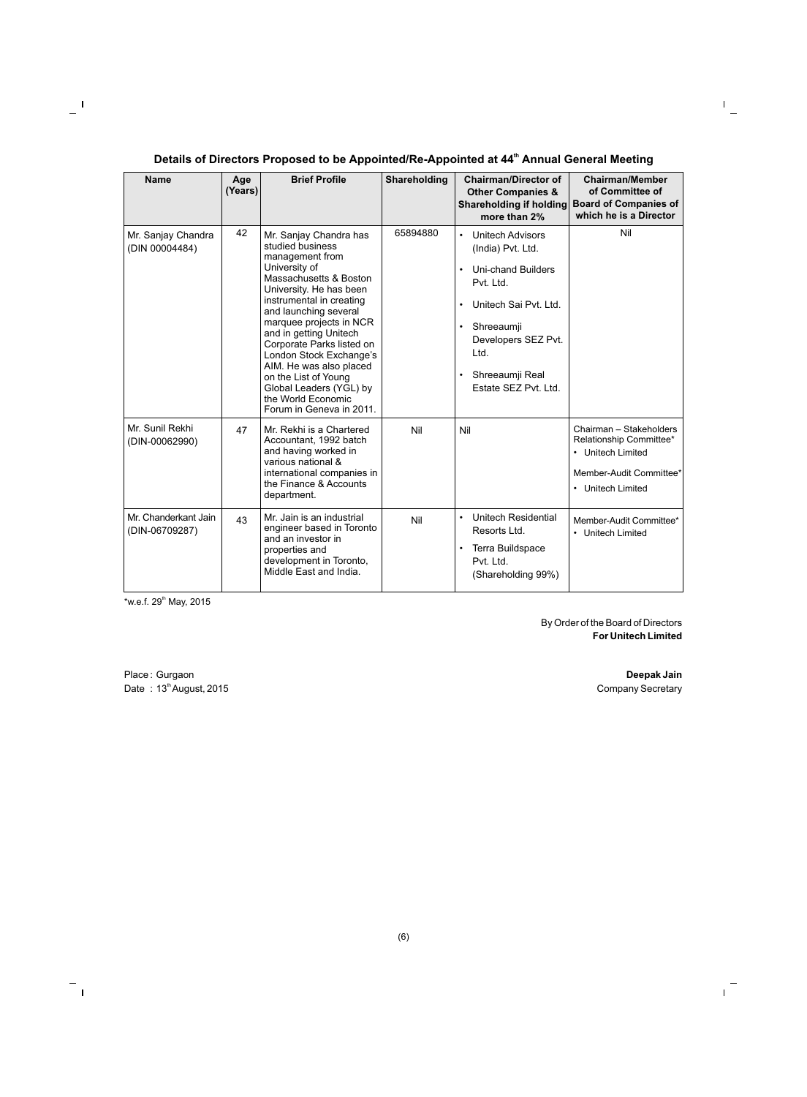### **th Details of Directors Proposed to be Appointed/Re-Appointed at 44 Annual General Meeting**

| <b>Name</b>                            | Age<br>(Years) | <b>Brief Profile</b>                                                                                                                                                                                                                                                                                                                                                                                                                  | Shareholding | <b>Chairman/Director of</b><br><b>Other Companies &amp;</b><br>Shareholding if holding<br>more than 2%                                                                                                                                         | <b>Chairman/Member</b><br>of Committee of<br><b>Board of Companies of</b><br>which he is a Director                     |
|----------------------------------------|----------------|---------------------------------------------------------------------------------------------------------------------------------------------------------------------------------------------------------------------------------------------------------------------------------------------------------------------------------------------------------------------------------------------------------------------------------------|--------------|------------------------------------------------------------------------------------------------------------------------------------------------------------------------------------------------------------------------------------------------|-------------------------------------------------------------------------------------------------------------------------|
| Mr. Sanjay Chandra<br>(DIN 00004484)   | 42             | Mr. Sanjay Chandra has<br>studied business<br>management from<br>University of<br>Massachusetts & Boston<br>University. He has been<br>instrumental in creating<br>and launching several<br>marquee projects in NCR<br>and in getting Unitech<br>Corporate Parks listed on<br>London Stock Exchange's<br>AIM. He was also placed<br>on the List of Young<br>Global Leaders (YGL) by<br>the World Economic<br>Forum in Geneva in 2011. | 65894880     | <b>Unitech Advisors</b><br>$\bullet$<br>(India) Pvt. Ltd.<br><b>Uni-chand Builders</b><br>Pvt. Ltd.<br>Unitech Sai Pyt. Ltd.<br>Shreeaumji<br>$\bullet$<br>Developers SEZ Pvt.<br>Ltd.<br>Shreeaumji Real<br>$\bullet$<br>Estate SEZ Pvt. Ltd. | Nil                                                                                                                     |
| Mr. Sunil Rekhi<br>(DIN-00062990)      | 47             | Mr. Rekhi is a Chartered<br>Accountant, 1992 batch<br>and having worked in<br>various national &<br>international companies in<br>the Finance & Accounts<br>department.                                                                                                                                                                                                                                                               | Nil          | Nil                                                                                                                                                                                                                                            | Chairman - Stakeholders<br>Relationship Committee*<br>• Unitech Limited<br>Member-Audit Committee*<br>• Unitech Limited |
| Mr. Chanderkant Jain<br>(DIN-06709287) | 43             | Mr. Jain is an industrial<br>engineer based in Toronto<br>and an investor in<br>properties and<br>development in Toronto,<br>Middle East and India.                                                                                                                                                                                                                                                                                   | Nil          | Unitech Residential<br>$\bullet$<br>Resorts Ltd.<br>Terra Buildspace<br>$\bullet$<br>Pvt. Ltd.<br>(Shareholding 99%)                                                                                                                           | Member-Audit Committee*<br>• Unitech Limited                                                                            |

 $*$ w.e.f. 29<sup>th</sup> May, 2015

By Order of the Board of Directors **For Unitech Limited**

Place : Gurgaon **Deepak Jain**<br>
Date : 13<sup>th</sup> August, 2015 **Deepak Jain**<br>
Date : 13<sup>th</sup> August, 2015 Date :  $13<sup>th</sup>$  August, 2015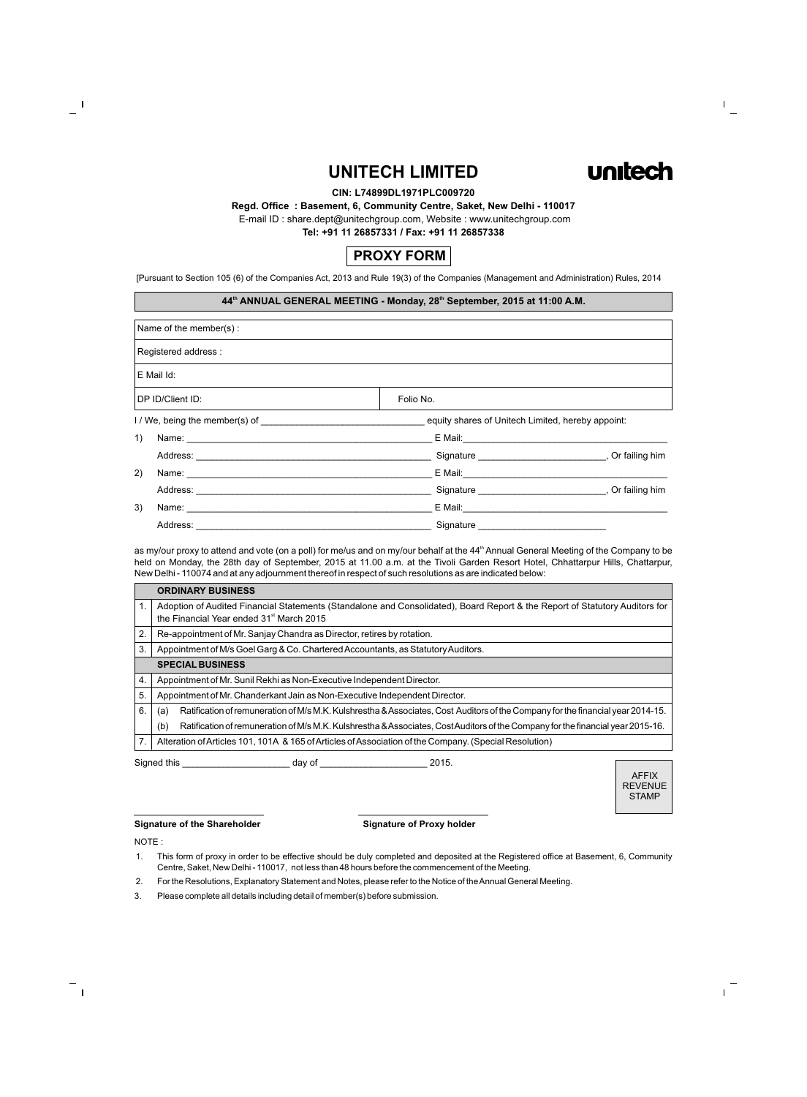## **UNITECH LIMITED**



#### **CIN: L74899DL1971PLC009720**

#### **Regd. Office : Basement, 6, Community Centre, Saket, New Delhi - 110017**

E-mail ID : share.dept@unitechgroup.com, Website : www.unitechgroup.com

**Tel: +91 11 26857331 / Fax: +91 11 26857338**



[Pursuant to Section 105 (6) of the Companies Act, 2013 and Rule 19(3) of the Companies (Management and Administration) Rules, 2014

#### **th th 44 ANNUAL GENERAL MEETING - Monday, 28 September, 2015 at 11:00 A.M.**

| Name of the member(s):                                                                                                                                                                                                              |                                                   |  |
|-------------------------------------------------------------------------------------------------------------------------------------------------------------------------------------------------------------------------------------|---------------------------------------------------|--|
| Registered address:                                                                                                                                                                                                                 |                                                   |  |
| E Mail Id:                                                                                                                                                                                                                          |                                                   |  |
| DP ID/Client ID:                                                                                                                                                                                                                    | Folio No.                                         |  |
|                                                                                                                                                                                                                                     | equity shares of Unitech Limited, hereby appoint: |  |
| 1)                                                                                                                                                                                                                                  |                                                   |  |
|                                                                                                                                                                                                                                     | Signature , Or failing him                        |  |
| 2)                                                                                                                                                                                                                                  |                                                   |  |
|                                                                                                                                                                                                                                     | Signature , Or failing him                        |  |
| 3)<br>Name: Name: Name: Name: Name: Name: Name: Name: Name: Name: Name: Name: Name: Name: Name: Name: Name: Name: Name: Name: Name: Name: Name: Name: Name: Name: Name: Name: Name: Name: Name: Name: Name: Name: Name: Name: Name: |                                                   |  |
| Address: _____________                                                                                                                                                                                                              | Signature                                         |  |

as my/our proxy to attend and vote (on a poll) for me/us and on my/our behalf at the 44<sup>th</sup> Annual General Meeting of the Company to be held on Monday, the 28th day of September, 2015 at 11.00 a.m. at the Tivoli Garden Resort Hotel, Chhattarpur Hills, Chattarpur, New Delhi - 110074 and at any adjournment thereof in respect of such resolutions as are indicated below:

|    | <b>ORDINARY BUSINESS</b>                                                                                                                                                            |  |  |
|----|-------------------------------------------------------------------------------------------------------------------------------------------------------------------------------------|--|--|
| 1. | Adoption of Audited Financial Statements (Standalone and Consolidated), Board Report & the Report of Statutory Auditors for<br>the Financial Year ended 31 <sup>st</sup> March 2015 |  |  |
| 2. | Re-appointment of Mr. Sanjay Chandra as Director, retires by rotation.                                                                                                              |  |  |
| 3. | Appointment of M/s Goel Garg & Co. Chartered Accountants, as Statutory Auditors.                                                                                                    |  |  |
|    | <b>SPECIAL BUSINESS</b>                                                                                                                                                             |  |  |
| 4. | Appointment of Mr. Sunil Rekhi as Non-Executive Independent Director.                                                                                                               |  |  |
| 5. | Appointment of Mr. Chanderkant Jain as Non-Executive Independent Director.                                                                                                          |  |  |
| 6. | Ratification of remuneration of M/s M.K. Kulshrestha & Associates, Cost Auditors of the Company for the financial year 2014-15.<br>(a)                                              |  |  |
|    | Ratification of remuneration of M/s M.K. Kulshrestha & Associates, Cost Auditors of the Company for the financial year 2015-16.<br>(b)                                              |  |  |
| 7. | Alteration of Articles 101, 101A & 165 of Articles of Association of the Company. (Special Resolution)                                                                              |  |  |
|    | Signed this<br>2015.<br>day of                                                                                                                                                      |  |  |

#### AFFIX REVENUE **STAMP**

#### **Signature of the Shareholder Signature of Proxy holder**

NOTE :

- 2. For the Resolutions, Explanatory Statement and Notes, please refer to the Notice of the Annual General Meeting.
- 3. Please complete all details including detail of member(s) before submission.

<sup>1.</sup> This form of proxy in order to be effective should be duly completed and deposited at the Registered office at Basement, 6, Community Centre, Saket, New Delhi - 110017, not less than 48 hours before the commencement of the Meeting.